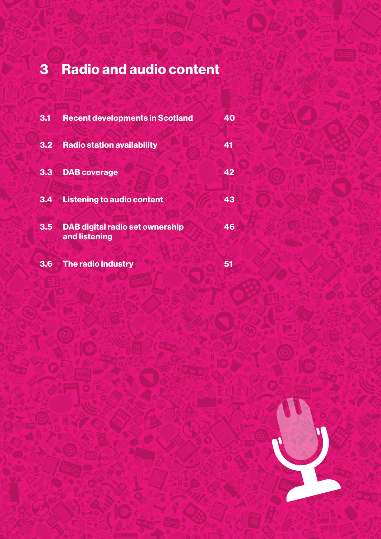# 3 Radio and audio content

| 3.1 | <b>Recent developments in Scotland</b>                  | 40 |
|-----|---------------------------------------------------------|----|
| 3.2 | <b>Radio station availability</b>                       | 41 |
| 3.3 | <b>DAB</b> coverage                                     | 42 |
| 3.4 | <b>Listening to audio content</b>                       | 43 |
| 3.5 | <b>DAB digital radio set ownership</b><br>and listening | 46 |
| 3.6 | The radio industry                                      | 51 |

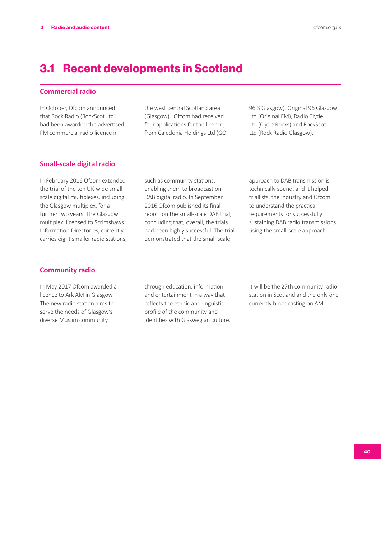### 3.1 Recent developments in Scotland

### **Commercial radio**

In October, Ofcom announced that Rock Radio (RockScot Ltd) had been awarded the advertised FM commercial radio licence in

the west central Scotland area (Glasgow). Ofcom had received four applications for the licence; from Caledonia Holdings Ltd (GO 96.3 Glasgow), Original 96 Glasgow Ltd (Original FM), Radio Clyde Ltd (Clyde Rocks) and RockScot Ltd (Rock Radio Glasgow).

### **Small-scale digital radio**

In February 2016 Ofcom extended the trial of the ten UK-wide smallscale digital multiplexes, including the Glasgow multiplex, for a further two years. The Glasgow multiplex, licensed to Scrimshaws Information Directories, currently carries eight smaller radio stations,

such as community stations, enabling them to broadcast on DAB digital radio. In September 2016 Ofcom published its final report on the small-scale DAB trial, concluding that, overall, the trials had been highly successful. The trial demonstrated that the small-scale

approach to DAB transmission is technically sound, and it helped triallists, the industry and Ofcom to understand the practical requirements for successfully sustaining DAB radio transmissions using the small-scale approach.

### **Community radio**

In May 2017 Ofcom awarded a licence to Ark AM in Glasgow. The new radio station aims to serve the needs of Glasgow's diverse Muslim community

through education, information and entertainment in a way that reflects the ethnic and linguistic profile of the community and identifies with Glaswegian culture. It will be the 27th community radio station in Scotland and the only one currently broadcasting on AM.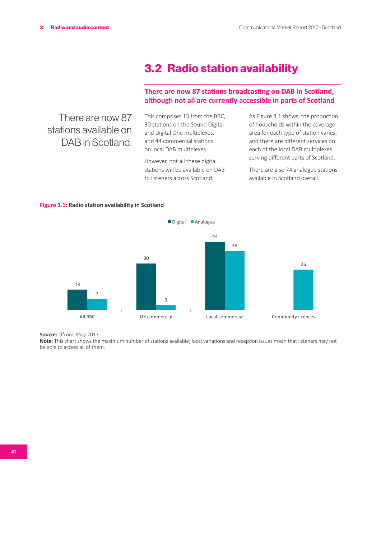There are now 87 stations available on DAB in Scotland.

## 3.2 Radio station availability

### **There are now 87 stations broadcasting on DAB in Scotland, although not all are currently accessible in parts of Scotland**

This comprises 13 from the BBC, 30 stations on the Sound Digital and Digital One multiplexes, and 44 commercial stations on local DAB multiplexes.

However, not all these digital stations will be available on DAB to listeners across Scotland.

As Figure 3.1 shows, the proportion of households within the coverage area for each type of station varies, and there are different services on each of the local DAB multiplexes serving different parts of Scotland.

There are also 74 analogue stations available in Scotland overall.

### **Figure 3.1: Radio station availability in Scotland**



Source: Ofcom, May 2017

**Note:** This chart shows the maximum number of stations available; local variations and reception issues mean that listeners may not be able to access all of them.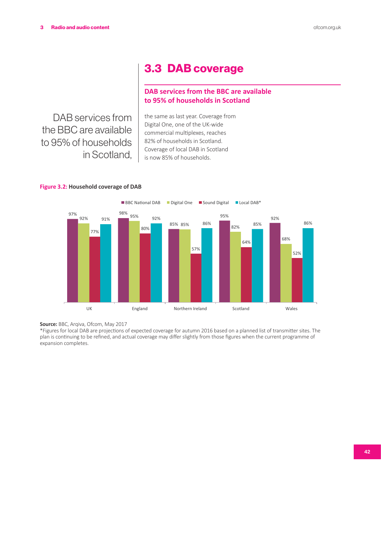### 3.3 DAB coverage

### **DAB services from the BBC are available to 95% of households in Scotland**

DAB services from the BBC are available to 95% of households in Scotland,

the same as last year. Coverage from Digital One, one of the UK-wide commercial multiplexes, reaches 82% of households in Scotland. Coverage of local DAB in Scotland is now 85% of households.





Source: BBC, Arqiva, Ofcom, May 2017

\*Figures for local DAB are projections of expected coverage for autumn 2016 based on a planned list of transmitter sites. The plan is continuing to be refined, and actual coverage may differ slightly from those figures when the current programme of expansion completes.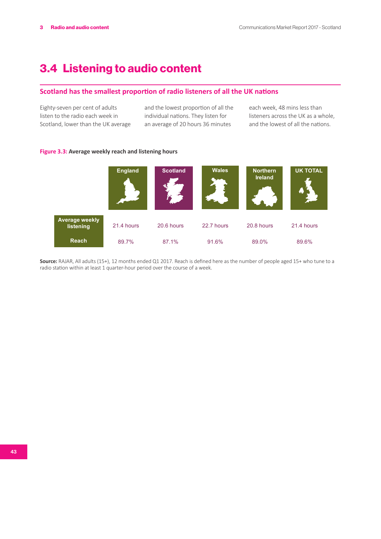## 3.4 Listening to audio content

### **Scotland has the smallest proportion of radio listeners of all the UK nations**

Eighty-seven per cent of adults listen to the radio each week in Scotland, lower than the UK average

and the lowest proportion of all the individual nations. They listen for an average of 20 hours 36 minutes

each week, 48 mins less than listeners across the UK as a whole, and the lowest of all the nations.

### **Figure 3.3: Average weekly reach and listening hours**



**Source:** RAJAR, All adults (15+), 12 months ended Q1 2017. Reach is defined here as the number of people aged 15+ who tune to a radio station within at least 1 quarter-hour period over the course of a week.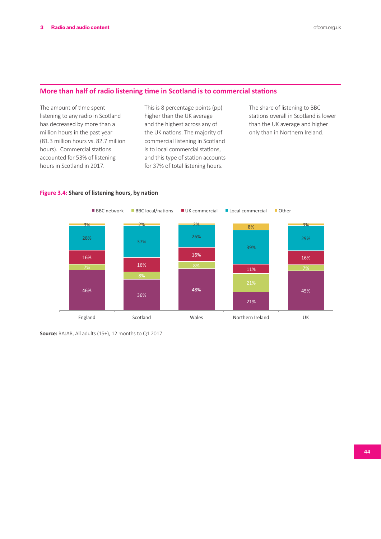### **More than half of radio listening time in Scotland is to commercial stations**

The amount of time spent listening to any radio in Scotland has decreased by more than a million hours in the past year (81.3 million hours vs. 82.7 million hours). Commercial stations accounted for 53% of listening hours in Scotland in 2017.

This is 8 percentage points (pp) higher than the UK average and the highest across any of the UK nations. The majority of commercial listening in Scotland is to local commercial stations, and this type of station accounts for 37% of total listening hours.

The share of listening to BBC stations overall in Scotland is lower than the UK average and higher only than in Northern Ireland.



### **Figure 3.4: Share of listening hours, by nation**

**Source:** RAJAR, All adults (15+), 12 months to Q1 2017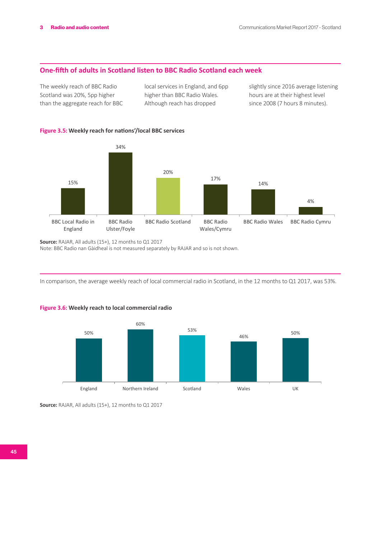### **One-fifth of adults in Scotland listen to BBC Radio Scotland each week**

The weekly reach of BBC Radio Scotland was 20%, 5pp higher than the aggregate reach for BBC local services in England, and 6pp higher than BBC Radio Wales. Although reach has dropped

slightly since 2016 average listening hours are at their highest level since 2008 (7 hours 8 minutes).

### **Figure 3.5: Weekly reach for nations'/local BBC services**



**Source:** RAJAR, All adults (15+), 12 months to Q1 2017 Note: BBC Radio nan Gàidheal is not measured separately by RAJAR and so is not shown.

In comparison, the average weekly reach of local commercial radio in Scotland, in the 12 months to Q1 2017, was 53%.



### **Figure 3.6: Weekly reach to local commercial radio**

**Source:** RAJAR, All adults (15+), 12 months to Q1 2017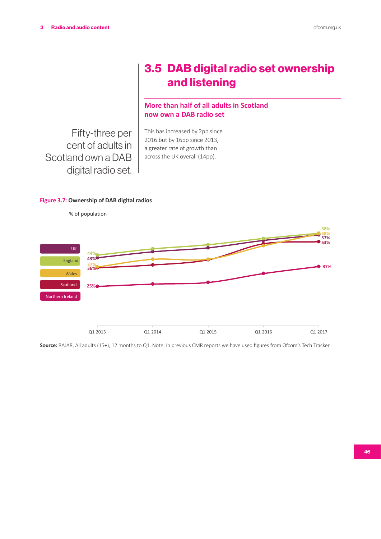## 3.5 DAB digital radio set ownership and listening

### **More than half of all adults in Scotland now own a DAB radio set**

Fifty-three per cent of adults in Scotland own a DAB digital radio set. This has increased by 2pp since 2016 but by 16pp since 2013, a greater rate of growth than across the UK overall (14pp).

### **Figure 3.7: Ownership of DAB digital radios**



**Source:** RAJAR, All adults (15+), 12 months to Q1. Note: In previous CMR reports we have used figures from Ofcom's Tech Tracker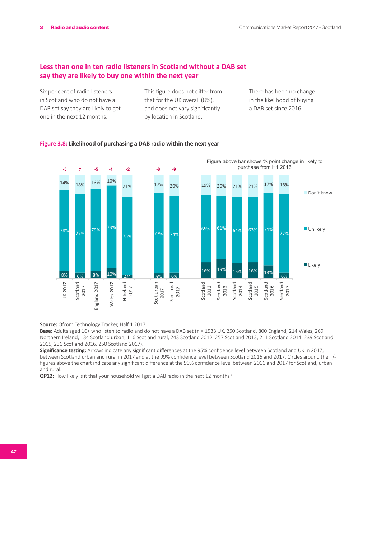### **Less than one in ten radio listeners in Scotland without a DAB set say they are likely to buy one within the next year**

Six per cent of radio listeners in Scotland who do not have a DAB set say they are likely to get one in the next 12 months.

This figure does not differ from that for the UK overall (8%), and does not vary significantly by location in Scotland.

There has been no change in the likelihood of buying a DAB set since 2016.

### **Figure 3.8: Likelihood of purchasing a DAB radio within the next year**



**Source:** Ofcom Technology Tracker, Half 1 2017

**Base:** Adults aged 16+ who listen to radio and do not have a DAB set (n = 1533 UK, 250 Scotland, 800 England, 214 Wales, 269 Northern Ireland, 134 Scotland urban, 116 Scotland rural, 243 Scotland 2012, 257 Scotland 2013, 211 Scotland 2014, 239 Scotland 2015, 236 Scotland 2016, 250 Scotland 2017).

**Significance testing:** Arrows indicate any significant differences at the 95% confidence level between Scotland and UK in 2017, between Scotland urban and rural in 2017 and at the 99% confidence level between Scotland 2016 and 2017. Circles around the +/ figures above the chart indicate any significant difference at the 99% confidence level between 2016 and 2017 for Scotland, urban and rural.

**QP12:** How likely is it that your household will get a DAB radio in the next 12 months?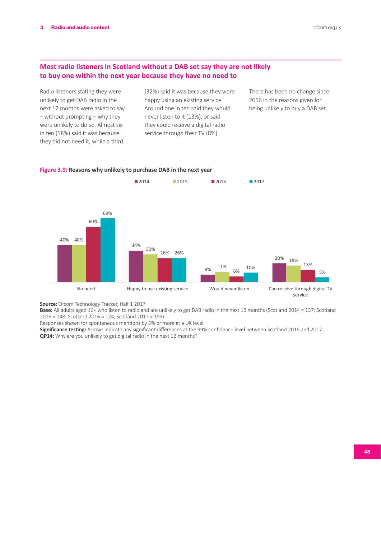### **Most radio listeners in Scotland without a DAB set say they are not likely to buy one within the next year because they have no need to**

Radio listeners stating they were unlikely to get DAB radio in the next 12 months were asked to say – without prompting – why they were unlikely to do so. Almost six in ten (58%) said it was because they did not need it, while a third

(32%) said it was because they were happy using an existing service. Around one in ten said they would never listen to it (13%), or said they could receive a digital radio service through their TV (8%).

There has been no change since 2016 in the reasons given for being unlikely to buy a DAB set.



### **Figure 3.9: Reasons why unlikely to purchase DAB in the next year**

**Source:** Ofcom Technology Tracker, Half 1 2017

**Base:** All adults aged 16+ who listen to radio and are unlikely to get DAB radio in the next 12 months (Scotland 2014 = 137; Scotland 2015 = 148; Scotland 2016 = 174, Scotland 2017 = 193)

Responses shown for spontaneous mentions by 5% or more at a UK level

**Significance testing:** Arrows indicate any significant differences at the 99% confidence level between Scotland 2016 and 2017. **QP14:** Why are you unlikely to get digital radio in the next 12 months?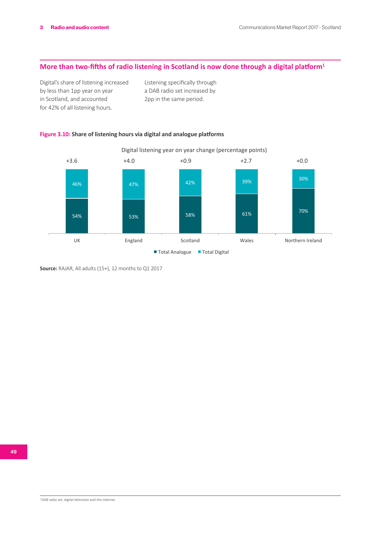### **More than two-fifths of radio listening in Scotland is now done through a digital platform<sup>1</sup>**

Digital's share of listening increased by less than 1pp year on year in Scotland, and accounted for 42% of all listening hours.

Listening specifically through a DAB radio set increased by 2pp in the same period.

### **Figure 3.10: Share of listening hours via digital and analogue platforms**



**Source:** RAJAR, All adults (15+), 12 months to Q1 2017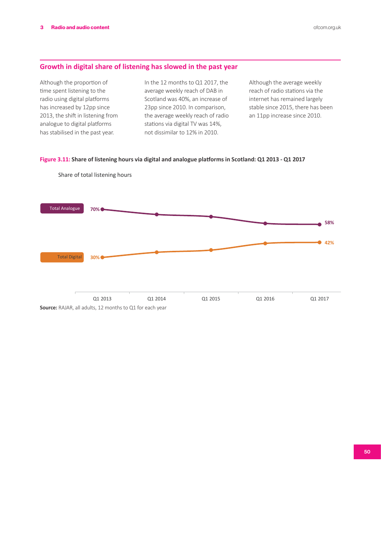### **Growth in digital share of listening has slowed in the past year**

Although the proportion of time spent listening to the radio using digital platforms has increased by 12pp since 2013, the shift in listening from analogue to digital platforms has stabilised in the past year.

In the 12 months to Q1 2017, the average weekly reach of DAB in Scotland was 40%, an increase of 23pp since 2010. In comparison, the average weekly reach of radio stations via digital TV was 14%, not dissimilar to 12% in 2010.

Although the average weekly reach of radio stations via the internet has remained largely stable since 2015, there has been an 11pp increase since 2010.

### **Figure 3.11: Share of listening hours via digital and analogue platforms in Scotland: Q1 2013 - Q1 2017**